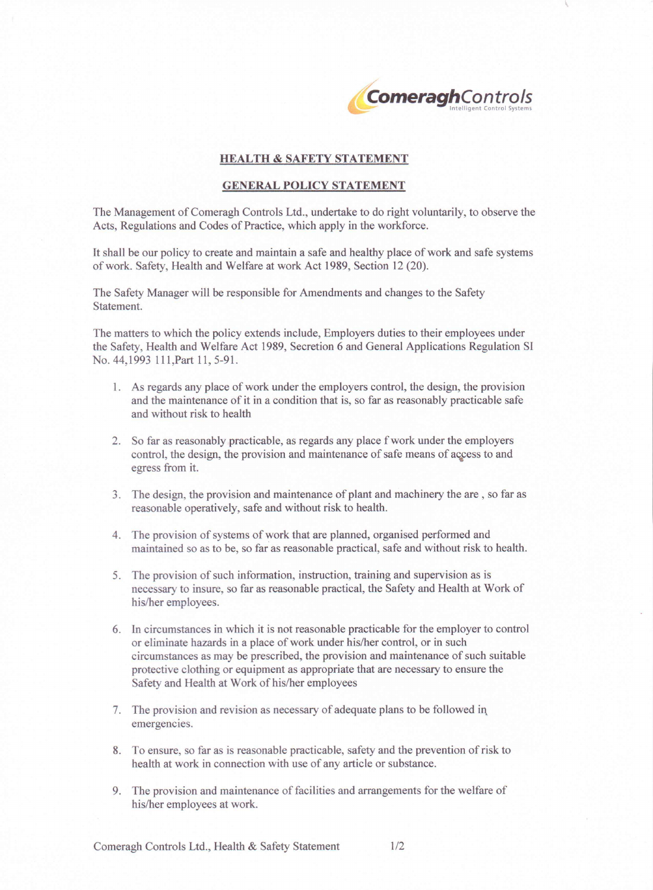

## **HEALTH** & SAFETY **STATEMENT**

## **GENERAL POLICY STATEMENT**

The Management of Comeragh Controls Ltd., undertake to do right voluntarily, to observe the Acts, Regulations and Codes of Practice, which apply in the workforce.

It shall be our policy to create and maintain a safe and healthy place of work and safe systems of work. Safety, Health and Welfare at work Act 1989, Section 12 (20).

The Safety Manager will be responsible for Amendments and changes to the Safety Statement.

The matters to which the policy extends include, Employers duties to their employees under the Safety, Health and Welfare Act 1989, Secretion 6 and General Applications Regulation SI No. 44,1993 111, Part 11, 5-91.

- l. As regards any place of work under the employers control, the design, the provision and the maintenance of it in a condition that is, so far as reasonably practicable safe and without risk to health
- 2. So far as reasonably practicable, as regards any place fwork under the employers control, the design, the provision and maintenance of safe means of access to and egress from it.
- 3. The design, the provision and maintenance of plant and machinery the are, so far as reasonable operatively, safe and without risk to health.
- 4. The provision of systems of work that are planned, organised performed and maintained so as to be, so far as reasonable practical, safe and without risk to health.
- 5. The provision of such information, instruction, training and supervision as is necessary to insure, so far as reasonable practical, the Safety and Health at Work of his/her employees.
- 6. Incircumstances in which it is not reasonable practicable for the employer to control or eliminate hazards in a place of work under his/her control, or in such circumstances as may be prescribed, the provision and maintenance of such suitable protective clothing or equipment as appropriate that are necessary to ensure the Safety and Health at Work of his/her employees
- 7. The provision and revision as necessary of adequate plans to be followed in. emergencies.
- 8. To ensure, so far as is reasonable practicable, safety and the prevention of risk to health at work in connection with use of any article or substance.
- 9. The provision and maintenance of facilities and arrangements for the welfare of his/her employees at work.

Comeragh Controls Ltd., Health & Safety Statement 1/2